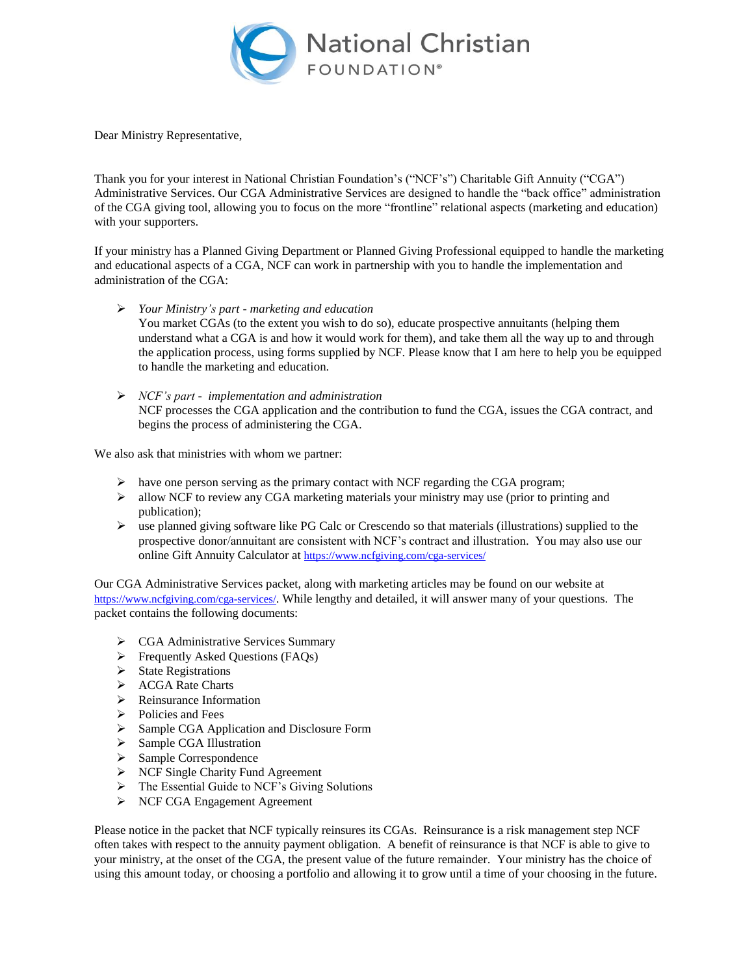

Dear Ministry Representative,

Thank you for your interest in National Christian Foundation's ("NCF's") Charitable Gift Annuity ("CGA") Administrative Services. Our CGA Administrative Services are designed to handle the "back office" administration of the CGA giving tool, allowing you to focus on the more "frontline" relational aspects (marketing and education) with your supporters.

If your ministry has a Planned Giving Department or Planned Giving Professional equipped to handle the marketing and educational aspects of a CGA, NCF can work in partnership with you to handle the implementation and administration of the CGA:

- *Your Ministry's part - marketing and education* You market CGAs (to the extent you wish to do so), educate prospective annuitants (helping them understand what a CGA is and how it would work for them), and take them all the way up to and through the application process, using forms supplied by NCF. Please know that I am here to help you be equipped to handle the marketing and education.
- *NCF's part implementation and administration* NCF processes the CGA application and the contribution to fund the CGA, issues the CGA contract, and begins the process of administering the CGA.

We also ask that ministries with whom we partner:

- $\triangleright$  have one person serving as the primary contact with NCF regarding the CGA program;
- $\triangleright$  allow NCF to review any CGA marketing materials your ministry may use (prior to printing and publication);
- use planned giving software like PG Calc or Crescendo so that materials (illustrations) supplied to the prospective donor/annuitant are consistent with NCF's contract and illustration. You may also use our online Gift Annuity Calculator at <https://www.ncfgiving.com/cga-services/>

Our CGA Administrative Services packet, along with marketing articles may be found on our website at <https://www.ncfgiving.com/cga-services/>. While lengthy and detailed, it will answer many of your questions. The packet contains the following documents:

- ▶ CGA Administrative Services Summary
- $\triangleright$  Frequently Asked Questions (FAQs)
- $\triangleright$  State Registrations
- > ACGA Rate Charts
- $\triangleright$  Reinsurance Information
- $\triangleright$  Policies and Fees
- Sample CGA Application and Disclosure Form
- $\triangleright$  Sample CGA Illustration
- $\triangleright$  Sample Correspondence
- ▶ NCF Single Charity Fund Agreement
- > The Essential Guide to NCF's Giving Solutions
- NCF CGA Engagement Agreement

Please notice in the packet that NCF typically reinsures its CGAs. Reinsurance is a risk management step NCF often takes with respect to the annuity payment obligation. A benefit of reinsurance is that NCF is able to give to your ministry, at the onset of the CGA, the present value of the future remainder. Your ministry has the choice of using this amount today, or choosing a portfolio and allowing it to grow until a time of your choosing in the future.